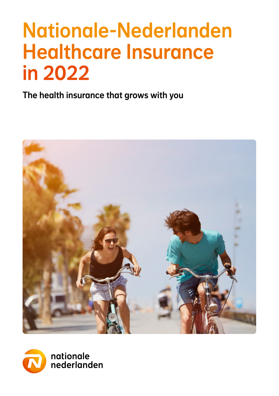# Nationale-Nederlanden Healthcare Insurance in 2022

The health insurance that grows with you



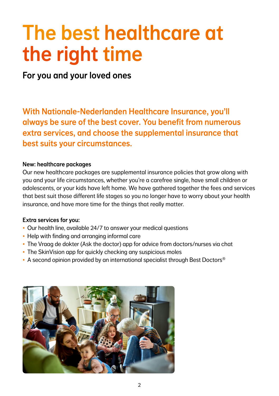## The best healthcare at the right time

For you and your loved ones

With Nationale-Nederlanden Healthcare Insurance, you'll always be sure of the best cover. You benefit from numerous extra services, and choose the supplemental insurance that best suits your circumstances.

#### New: healthcare packages

Our new healthcare packages are supplemental insurance policies that grow along with you and your life circumstances, whether you're a carefree single, have small children or adolescents, or your kids have left home. We have gathered together the fees and services that best suit those different life stages so you no longer have to worry about your health insurance, and have more time for the things that really matter.

#### Extra services for you:

- Our health line, available 24/7 to answer your medical questions
- Help with finding and arranging informal care
- The Vraag de dokter (Ask the doctor) app for advice from doctors/nurses via chat
- The SkinVision app for quickly checking any suspicious moles
- A second opinion provided by an international specialist through Best Doctors<sup>®</sup>

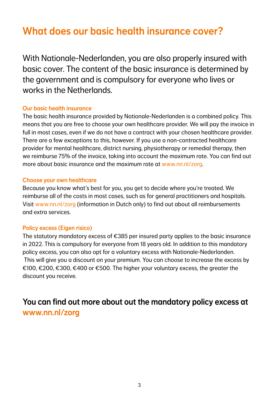## What does our basic health insurance cover?

With Nationale-Nederlanden, you are also properly insured with basic cover. The content of the basic insurance is determined by the government and is compulsory for everyone who lives or works in the Netherlands.

#### Our basic health insurance

The basic health insurance provided by Nationale-Nederlanden is a combined policy. This means that you are free to choose your own healthcare provider. We will pay the invoice in full in most cases, even if we do not have a contract with your chosen healthcare provider. There are a few exceptions to this, however. If you use a non-contracted healthcare provider for mental healthcare, district nursing, physiotherapy or remedial therapy, then we reimburse 75% of the invoice, taking into account the maximum rate. You can find out more about basic insurance and the maximum rate at www.nn.nl/zorg.

#### Choose your own healthcare

Because you know what's best for you, you get to decide where you're treated. We reimburse all of the costs in most cases, such as for general practitioners and hospitals. Visit www.nn.nl/zorg (information in Dutch only) to find out about all reimbursements and extra services.

#### Policy excess (Eigen risico)

The statutory mandatory excess of  $\epsilon$ 385 per insured party applies to the basic insurance in 2022. This is compulsory for everyone from 18 years old. In addition to this mandatory policy excess, you can also opt for a voluntary excess with Nationale-Nederlanden. This will give you a discount on your premium. You can choose to increase the excess by €100, €200, €300, €400 or €500. The higher your voluntary excess, the greater the discount you receive.

### You can find out more about out the mandatory policy excess at www.nn.nl/zorg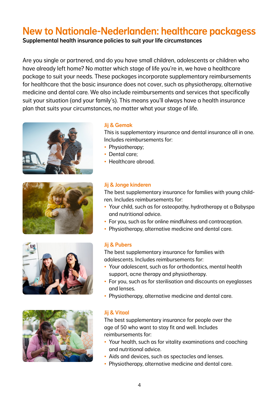## New to Nationale-Nederlanden: healthcare packagess

Supplemental health insurance policies to suit your life circumstances

Are you single or partnered, and do you have small children, adolescents or children who have already left home? No matter which stage of life you're in, we have a healthcare package to suit your needs. These packages incorporate supplementary reimbursements for healthcare that the basic insurance does not cover, such as physiotherapy, alternative medicine and dental care. We also include reimbursements and services that specifically suit your situation (and your family's). This means you'll always have a health insurance plan that suits your circumstances, no matter what your stage of life.









#### Jij & Gemak

This is supplementary insurance and dental insurance all in one. Includes reimbursements for:

- Physiotherapy:
- Dental care;
- Healthcare abroad.

#### Jij & Jonge kinderen

The best supplementary insurance for families with young children. Includes reimbursements for:

- Your child, such as for osteopathy, hydrotherapy at a Babyspa and nutritional advice.
- For you, such as for online mindfulness and contraception.
- Physiotherapy, alternative medicine and dental care.

#### Jij & Pubers

The best supplementary insurance for families with adolescents. Includes reimbursements for:

- Your adolescent, such as for orthodontics, mental health support, acne therapy and physiotherapy.
- For you, such as for sterilisation and discounts on eyeglasses and lenses.
- Physiotherapy, alternative medicine and dental care.

#### Jij & Vitaal

The best supplementary insurance for people over the age of 50 who want to stay fit and well. Includes reimbursements for:

- Your health, such as for vitality examinations and coaching and nutritional advice.
- Aids and devices, such as spectacles and lenses.
- Physiotherapy, alternative medicine and dental care.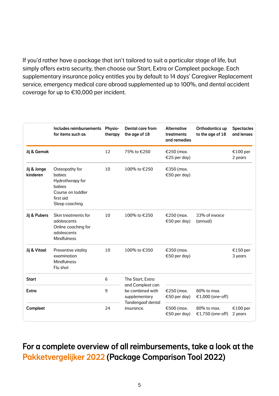If you'd rather have a package that isn't tailored to suit a particular stage of life, but simply offers extra security, then choose our Start, Extra or Compleet package. Each supplementary insurance policy entitles you by default to 14 days' Caregiver Replacement service, emergency medical care abroad supplemented up to 100%, and dental accident coverage for up to €10,000 per incident.

|                         | Includes reimbursements Physio-<br>for items such as                                                       | therapy | Dental care from<br>the age of 18                                                                                   | <b>Alternative</b><br>treatments<br>and remedies | Orthodontics up<br>to the age of 18 | <b>Spectacles</b><br>and lenses |
|-------------------------|------------------------------------------------------------------------------------------------------------|---------|---------------------------------------------------------------------------------------------------------------------|--------------------------------------------------|-------------------------------------|---------------------------------|
| Jij & Gemak             |                                                                                                            | 12      | 75% to €250                                                                                                         | €250 (max.<br>€25 per day)                       |                                     | €100 per<br>2 years             |
| Jij & Jonge<br>kinderen | Osteopathy for<br>babies<br>Hydrotherapy for<br>babies<br>Course on toddler<br>first aid<br>Sleep coaching | 10      | 100% to €250                                                                                                        | €350 (max.<br>€50 per day)                       |                                     |                                 |
| Jij & Pubers            | Skin treatments for<br>adolescents<br>Online coaching for<br>adolescents<br><b>Mindfulness</b>             | 10      | 100% to €250                                                                                                        | €250 (max.<br>€50 per day)                       | 33% of invoice<br>(annual)          |                                 |
| Jij & Vitaal            | Preventive vitality<br>examination<br><b>Mindfulness</b><br>Flu shot                                       | 10      | 100% to €350                                                                                                        | €350 (max.<br>€50 per day)                       |                                     | €150 per<br>3 years             |
| <b>Start</b>            |                                                                                                            | 6       | The Start, Extra<br>and Compleet can<br>be combined with<br>supplementary<br><b>Tandengaaf dental</b><br>insurance. |                                                  |                                     |                                 |
| Extra                   |                                                                                                            | 9       |                                                                                                                     | €250 (max.<br>€50 per day)                       | 80% to max.<br>€1,000 (one-off)     |                                 |
| Compleet                |                                                                                                            | 24      |                                                                                                                     | €500 (max.<br>€50 per day)                       | 80% to max.<br>€1,750 (one-off)     | €100 per<br>2 years             |

### For a complete overview of all reimbursements, take a look at the Pakketvergelijker 2022 (Package Comparison Tool 2022)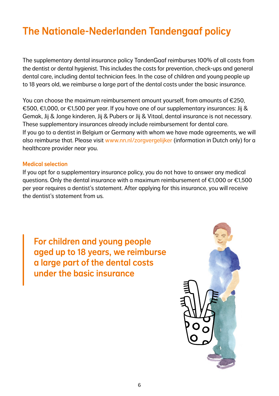## The Nationale-Nederlanden Tandengaaf policy

The supplementary dental insurance policy TandenGaaf reimburses 100% of all costs from the dentist or dental hygienist. This includes the costs for prevention, check-ups and general dental care, including dental technician fees. In the case of children and young people up to 18 years old, we reimburse a large part of the dental costs under the basic insurance.

You can choose the maximum reimbursement amount yourself, from amounts of €250, €500, €1,000, or €1,500 per year. If you have one of our supplementary insurances: Jij & Gemak, Jij & Jonge kinderen, Jij & Pubers or Jij & Vitaal, dental insurance is not necessary. These supplementary insurances already include reimbursement for dental care. If you go to a dentist in Belgium or Germany with whom we have made agreements, we will also reimburse that. Please visit www.nn.nl/zorgvergelijker (information in Dutch only) for a healthcare provider near you.

#### Medical selection

If you opt for a supplementary insurance policy, you do not have to answer any medical questions. Only the dental insurance with a maximum reimbursement of  $\epsilon$ 1,000 or  $\epsilon$ 1,500 per year requires a dentist's statement. After applying for this insurance, you will receive the dentist's statement from us.

For children and young people aged up to 18 years, we reimburse a large part of the dental costs under the basic insurance

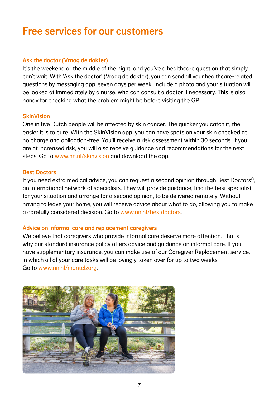## Free services for our customers

#### Ask the doctor (Vraag de dokter)

It's the weekend or the middle of the night, and you've a healthcare question that simply can't wait. With 'Ask the doctor' (Vraag de dokter), you can send all your healthcare-related questions by messaging app, seven days per week. Include a photo and your situation will be looked at immediately by a nurse, who can consult a doctor if necessary. This is also handy for checking what the problem might be before visiting the GP.

#### **SkinVision**

One in five Dutch people will be affected by skin cancer. The quicker you catch it, the easier it is to cure. With the SkinVision app, you can have spots on your skin checked at no charge and obligation-free. You'll receive a risk assessment within 30 seconds. If you are at increased risk, you will also receive guidance and recommendations for the next steps. Go to www.nn.nl/skinvision and download the app.

#### Best Doctors

If you need extra medical advice, you can request a second opinion through Best Doctors®, an international network of specialists. They will provide guidance, find the best specialist for your situation and arrange for a second opinion, to be delivered remotely. Without having to leave your home, you will receive advice about what to do, allowing you to make a carefully considered decision. Go to www.nn.nl/bestdoctors.

#### Advice on informal care and replacement caregivers

We believe that caregivers who provide informal care deserve more attention. That's why our standard insurance policy offers advice and guidance on informal care. If you have supplementary insurance, you can make use of our Caregiver Replacement service, in which all of your care tasks will be lovingly taken over for up to two weeks. Go to www.nn.nl/mantelzorg.

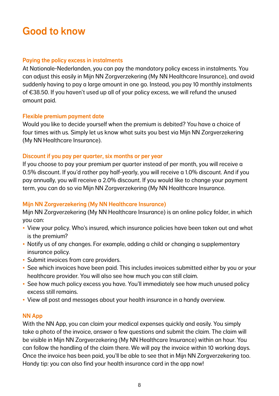## Good to know

#### Paying the policy excess in instalments

At Nationale-Nederlanden, you can pay the mandatory policy excess in instalments. You can adjust this easily in Mijn NN Zorgverzekering (My NN Healthcare Insurance), and avoid suddenly having to pay a large amount in one go. Instead, you pay 10 monthly instalments of €38.50. If you haven't used up all of your policy excess, we will refund the unused amount paid.

#### Flexible premium payment date

Would you like to decide yourself when the premium is debited? You have a choice of four times with us. Simply let us know what suits you best via Mijn NN Zorgverzekering (My NN Healthcare Insurance).

#### Discount if you pay per quarter, six months or per year

If you choose to pay your premium per quarter instead of per month, you will receive a 0.5% discount. If you'd rather pay half-yearly, you will receive a 1.0% discount. And if you pay annually, you will receive a 2.0% discount. If you would like to change your payment term, you can do so via Mijn NN Zorgverzekering (My NN Healthcare Insurance.

#### Mijn NN Zorgverzekering (My NN Healthcare Insurance)

Mijn NN Zorgverzekering (My NN Healthcare Insurance) is an online policy folder, in which you can:

- View your policy. Who's insured, which insurance policies have been taken out and what is the premium?
- Notify us of any changes. For example, adding a child or changing a supplementary insurance policy.
- Submit invoices from care providers.
- See which invoices have been paid. This includes invoices submitted either by you or your healthcare provider. You will also see how much you can still claim.
- See how much policy excess you have. You'll immediately see how much unused policy excess still remains.
- View all post and messages about your health insurance in a handy overview.

#### NN App

With the NN App, you can claim your medical expenses quickly and easily. You simply take a photo of the invoice, answer a few questions and submit the claim. The claim will be visible in Mijn NN Zorgverzekering (My NN Healthcare Insurance) within an hour. You can follow the handling of the claim there. We will pay the invoice within 10 working days. Once the invoice has been paid, you'll be able to see that in Mijn NN Zorgverzekering too. Handy tip: you can also find your health insurance card in the app now!